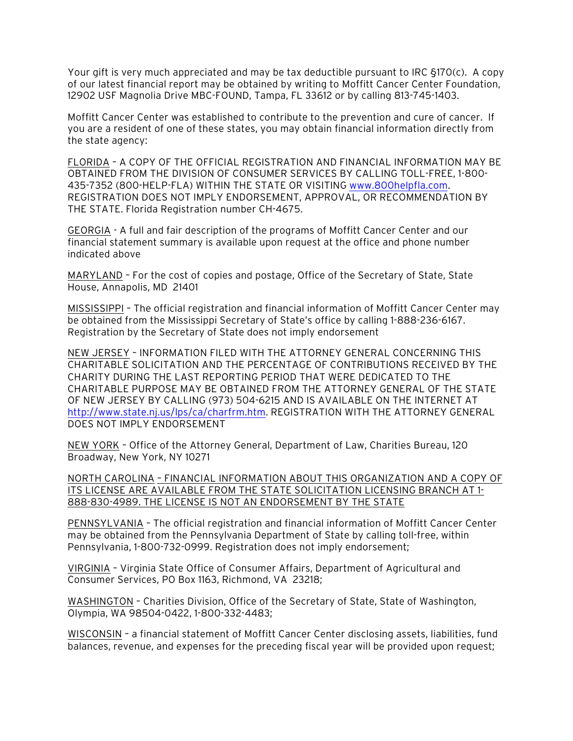Your gift is very much appreciated and may be tax deductible pursuant to IRC §170(c). A copy of our latest financial report may be obtained by writing to Moffitt Cancer Center Foundation, 12902 USF Magnolia Drive MBC-FOUND, Tampa, FL 33612 or by calling 813-745-1403.

Moffitt Cancer Center was established to contribute to the prevention and cure of cancer. If you are a resident of one of these states, you may obtain financial information directly from the state agency:

FLORIDA – A COPY OF THE OFFICIAL REGISTRATION AND FINANCIAL INFORMATION MAY BE OBTAINED FROM THE DIVISION OF CONSUMER SERVICES BY CALLING TOLL-FREE, 1-800- 435-7352 (800-HELP-FLA) WITHIN THE STATE OR VISITING www.800helpfla.com. REGISTRATION DOES NOT IMPLY ENDORSEMENT, APPROVAL, OR RECOMMENDATION BY THE STATE. Florida Registration number CH-4675.

GEORGIA - A full and fair description of the programs of Moffitt Cancer Center and our financial statement summary is available upon request at the office and phone number indicated above

MARYLAND – For the cost of copies and postage, Office of the Secretary of State, State House, Annapolis, MD 21401

MISSISSIPPI – The official registration and financial information of Moffitt Cancer Center may be obtained from the Mississippi Secretary of State's office by calling 1-888-236-6167. Registration by the Secretary of State does not imply endorsement

NEW JERSEY – INFORMATION FILED WITH THE ATTORNEY GENERAL CONCERNING THIS CHARITABLE SOLICITATION AND THE PERCENTAGE OF CONTRIBUTIONS RECEIVED BY THE CHARITY DURING THE LAST REPORTING PERIOD THAT WERE DEDICATED TO THE CHARITABLE PURPOSE MAY BE OBTAINED FROM THE ATTORNEY GENERAL OF THE STATE OF NEW JERSEY BY CALLING (973) 504-6215 AND IS AVAILABLE ON THE INTERNET AT http://www.state.nj.us/lps/ca/charfrm.htm. REGISTRATION WITH THE ATTORNEY GENERAL DOES NOT IMPLY ENDORSEMENT

NEW YORK – Office of the Attorney General, Department of Law, Charities Bureau, 120 Broadway, New York, NY 10271

NORTH CAROLINA – FINANCIAL INFORMATION ABOUT THIS ORGANIZATION AND A COPY OF ITS LICENSE ARE AVAILABLE FROM THE STATE SOLICITATION LICENSING BRANCH AT 1- 888-830-4989. THE LICENSE IS NOT AN ENDORSEMENT BY THE STATE

PENNSYLVANIA – The official registration and financial information of Moffitt Cancer Center may be obtained from the Pennsylvania Department of State by calling toll-free, within Pennsylvania, 1-800-732-0999. Registration does not imply endorsement;

VIRGINIA – Virginia State Office of Consumer Affairs, Department of Agricultural and Consumer Services, PO Box 1163, Richmond, VA 23218;

WASHINGTON – Charities Division, Office of the Secretary of State, State of Washington, Olympia, WA 98504-0422, 1-800-332-4483;

WISCONSIN – a financial statement of Moffitt Cancer Center disclosing assets, liabilities, fund balances, revenue, and expenses for the preceding fiscal year will be provided upon request;